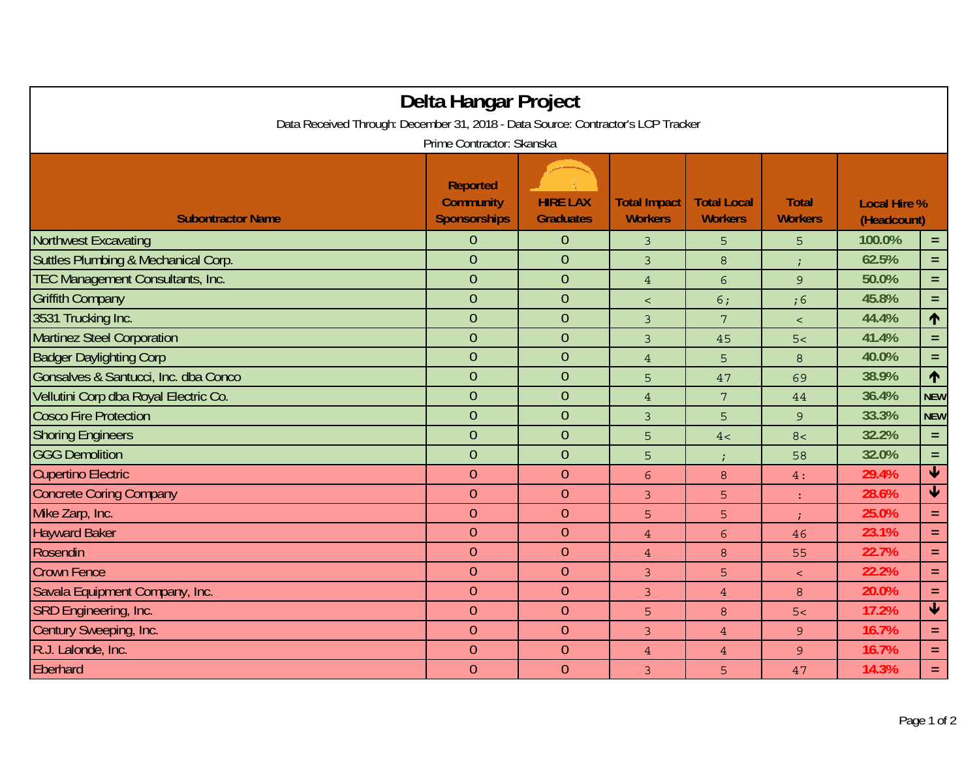|                                                                                  | Delta Hangar Project                                       |                                     |                                       |                                      |                                |                                    |                    |  |  |  |  |  |
|----------------------------------------------------------------------------------|------------------------------------------------------------|-------------------------------------|---------------------------------------|--------------------------------------|--------------------------------|------------------------------------|--------------------|--|--|--|--|--|
| Data Received Through: December 31, 2018 - Data Source: Contractor's LCP Tracker |                                                            |                                     |                                       |                                      |                                |                                    |                    |  |  |  |  |  |
|                                                                                  | Prime Contractor: Skanska                                  |                                     |                                       |                                      |                                |                                    |                    |  |  |  |  |  |
| <b>Subontractor Name</b>                                                         | <b>Reported</b><br><b>Community</b><br><b>Sponsorships</b> | <b>HIRE LAX</b><br><b>Graduates</b> | <b>Total Impact</b><br><b>Workers</b> | <b>Total Local</b><br><b>Workers</b> | <b>Total</b><br><b>Workers</b> | <b>Local Hire %</b><br>(Headcount) |                    |  |  |  |  |  |
| <b>Northwest Excavating</b>                                                      | 0                                                          | $\theta$                            | 3                                     | 5                                    | 5                              | 100.0%                             | $=$                |  |  |  |  |  |
| Suttles Plumbing & Mechanical Corp.                                              | $\overline{0}$                                             | $\overline{0}$                      | $\overline{3}$                        | $\,8\,$                              | $\ddot{i}$                     | 62.5%                              | $=$                |  |  |  |  |  |
| <b>TEC Management Consultants, Inc.</b>                                          | $\overline{0}$                                             | $\theta$                            | $\sqrt{4}$                            | $6\overline{6}$                      | $\mathcal{G}$                  | 50.0%                              | $\equiv$           |  |  |  |  |  |
| <b>Griffith Company</b>                                                          | $\overline{0}$                                             | $\overline{0}$                      | $\overline{\phantom{a}}$              | 6:                                   | ;6                             | 45.8%                              | $=$                |  |  |  |  |  |
| 3531 Trucking Inc.                                                               | $\overline{0}$                                             | $\theta$                            | 3                                     | $7\phantom{.}$                       | $\,<\,$                        | 44.4%                              | $\uparrow$         |  |  |  |  |  |
| Martinez Steel Corporation                                                       | $\overline{0}$                                             | $\overline{0}$                      | 3                                     | 45                                   | 5<                             | 41.4%                              | $=$                |  |  |  |  |  |
| <b>Badger Daylighting Corp</b>                                                   | $\overline{0}$                                             | $\theta$                            | $\overline{4}$                        | 5                                    | $\,8\,$                        | 40.0%                              | $\equiv$           |  |  |  |  |  |
| Gonsalves & Santucci, Inc. dba Conco                                             | $\overline{0}$                                             | $\theta$                            | 5                                     | 47                                   | 69                             | 38.9%                              | $\uparrow$         |  |  |  |  |  |
| Vellutini Corp dba Royal Electric Co.                                            | $\overline{0}$                                             | $\overline{0}$                      | $\overline{4}$                        | 7                                    | 44                             | 36.4%                              | <b>NEW</b>         |  |  |  |  |  |
| <b>Cosco Fire Protection</b>                                                     | $\overline{0}$                                             | $\overline{0}$                      | $\overline{3}$                        | 5                                    | $\overline{9}$                 | 33.3%                              | <b>NEW</b>         |  |  |  |  |  |
| <b>Shoring Engineers</b>                                                         | $\overline{0}$                                             | $\theta$                            | 5                                     | 4<                                   | 8<                             | 32.2%                              | $=$                |  |  |  |  |  |
| <b>GGG Demolition</b>                                                            | $\overline{0}$                                             | $\overline{0}$                      | 5                                     | $\ddot{i}$                           | 58                             | 32.0%                              | $=$                |  |  |  |  |  |
| <b>Cupertino Electric</b>                                                        | $\overline{0}$                                             | $\overline{0}$                      | 6                                     | 8                                    | 4:                             | 29.4%                              | $\blacklozenge$    |  |  |  |  |  |
| <b>Concrete Coring Company</b>                                                   | $\overline{0}$                                             | $\theta$                            | 3                                     | 5                                    | ÷                              | 28.6%                              | $\bigtriangledown$ |  |  |  |  |  |
| Mike Zarp, Inc.                                                                  | $\overline{0}$                                             | $\theta$                            | 5                                     | 5                                    | ÷                              | 25.0%                              | $=$                |  |  |  |  |  |
| <b>Hayward Baker</b>                                                             | $\overline{0}$                                             | $\theta$                            | $\overline{4}$                        | $6\overline{6}$                      | 46                             | 23.1%                              | $=$ .              |  |  |  |  |  |
| Rosendin                                                                         | $\theta$                                                   | $\theta$                            | $\overline{4}$                        | 8                                    | 55                             | 22.7%                              | $=$                |  |  |  |  |  |
| <b>Crown Fence</b>                                                               | $\overline{0}$                                             | $\overline{0}$                      | 3                                     | 5                                    | $\prec$                        | 22.2%                              | $\equiv$           |  |  |  |  |  |
| Savala Equipment Company, Inc.                                                   | $\overline{0}$                                             | $\overline{0}$                      | 3                                     | $\overline{4}$                       | 8                              | 20.0%                              | $=$                |  |  |  |  |  |
| SRD Engineering, Inc.                                                            | $\overline{0}$                                             | $\overline{0}$                      | 5                                     | 8                                    | 5<                             | 17.2%                              | $\blacklozenge$    |  |  |  |  |  |
| Century Sweeping, Inc.                                                           | $\theta$                                                   | $\theta$                            | 3                                     | $\overline{4}$                       | $\overline{9}$                 | 16.7%                              | $=$                |  |  |  |  |  |
| R.J. Lalonde, Inc.                                                               | $\overline{0}$                                             | $\overline{0}$                      | $\overline{4}$                        | $\overline{4}$                       | $\overline{9}$                 | 16.7%                              | $=$                |  |  |  |  |  |
| Eberhard                                                                         | $\overline{0}$                                             | $\overline{0}$                      | 3                                     | 5                                    | 47                             | 14.3%                              | $=$                |  |  |  |  |  |